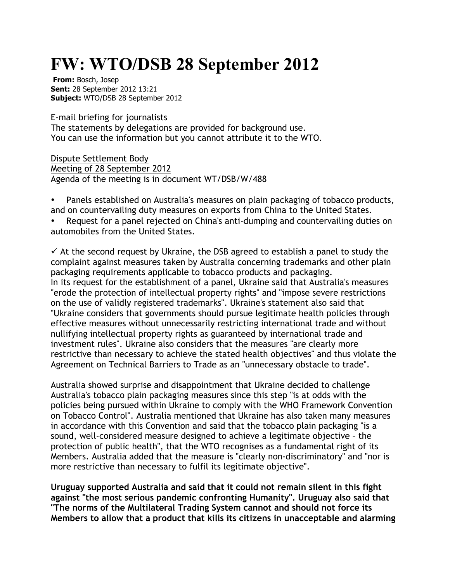## **FW: WTO/DSB 28 September 2012**

**From:** Bosch, Josep **Sent:** 28 September 2012 13:21 **Subject:** WTO/DSB 28 September 2012

E-mail briefing for journalists The statements by delegations are provided for background use. You can use the information but you cannot attribute it to the WTO.

Dispute Settlement Body Meeting of 28 September 2012 Agenda of the meeting is in document WT/DSB/W/488

• Panels established on Australia's measures on plain packaging of tobacco products, and on countervailing duty measures on exports from China to the United States.

• Request for a panel rejected on China's anti-dumping and countervailing duties on automobiles from the United States.

 $\checkmark$  At the second request by Ukraine, the DSB agreed to establish a panel to study the complaint against measures taken by Australia concerning trademarks and other plain packaging requirements applicable to tobacco products and packaging. In its request for the establishment of a panel, Ukraine said that Australia's measures "erode the protection of intellectual property rights" and "impose severe restrictions on the use of validly registered trademarks". Ukraine's statement also said that "Ukraine considers that governments should pursue legitimate health policies through effective measures without unnecessarily restricting international trade and without nullifying intellectual property rights as guaranteed by international trade and investment rules". Ukraine also considers that the measures "are clearly more restrictive than necessary to achieve the stated health objectives" and thus violate the Agreement on Technical Barriers to Trade as an "unnecessary obstacle to trade".

Australia showed surprise and disappointment that Ukraine decided to challenge Australia's tobacco plain packaging measures since this step "is at odds with the policies being pursued within Ukraine to comply with the WHO Framework Convention on Tobacco Control". Australia mentioned that Ukraine has also taken many measures in accordance with this Convention and said that the tobacco plain packaging "is a sound, well-considered measure designed to achieve a legitimate objective – the protection of public health", that the WTO recognises as a fundamental right of its Members. Australia added that the measure is "clearly non-discriminatory" and "nor is more restrictive than necessary to fulfil its legitimate objective".

**Uruguay supported Australia and said that it could not remain silent in this fight against "the most serious pandemic confronting Humanity". Uruguay also said that "The norms of the Multilateral Trading System cannot and should not force its Members to allow that a product that kills its citizens in unacceptable and alarming**